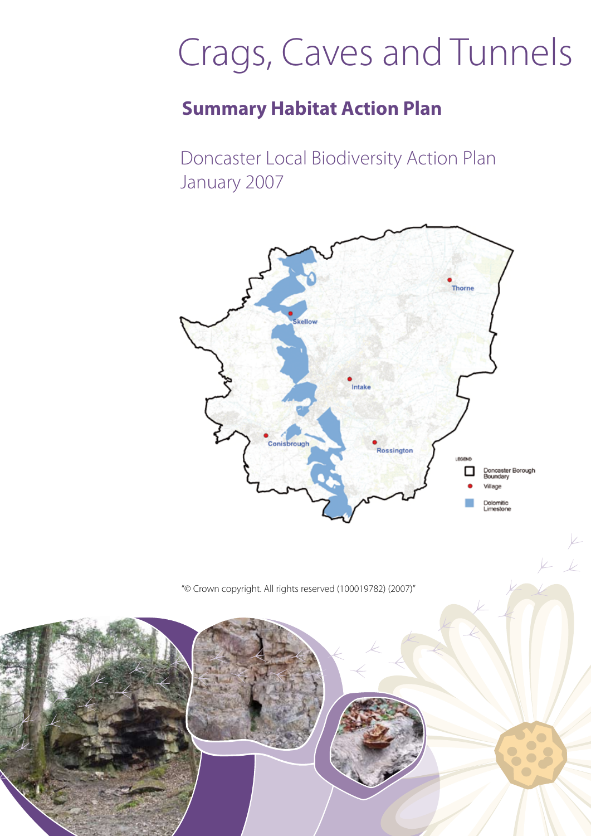# Crags, Caves and Tunnels

## **Summary Habitat Action Plan**

Doncaster Local Biodiversity Action Plan January 2007



 $V_{-}$ 

"© Crown copyright. All rights reserved (100019782) (2007)"

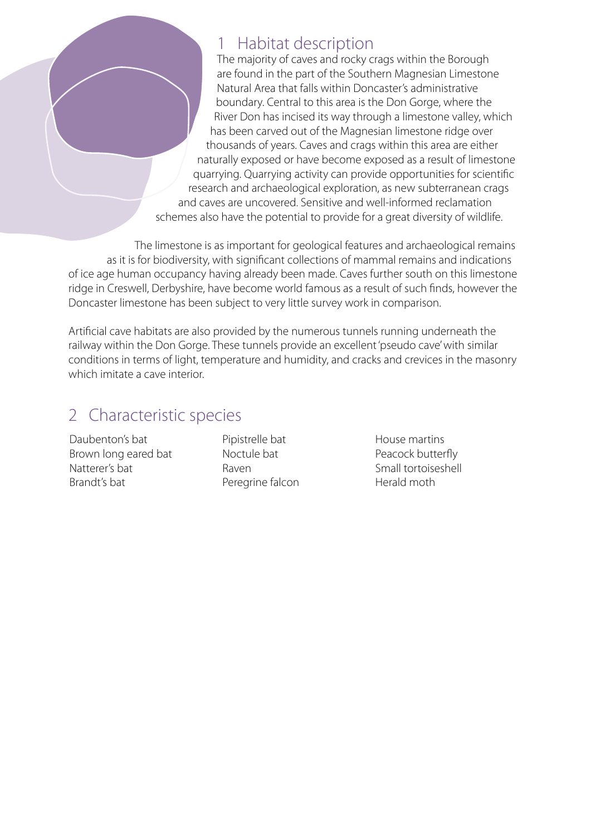#### 1 Habitat description

The majority of caves and rocky crags within the Borough are found in the part of the Southern Magnesian Limestone Natural Area that falls within Doncaster's administrative boundary. Central to this area is the Don Gorge, where the River Don has incised its way through a limestone valley, which has been carved out of the Magnesian limestone ridge over thousands of years. Caves and crags within this area are either naturally exposed or have become exposed as a result of limestone quarrying. Quarrying activity can provide opportunities for scientific research and archaeological exploration, as new subterranean crags and caves are uncovered. Sensitive and well-informed reclamation schemes also have the potential to provide for a great diversity of wildlife.

The limestone is as important for geological features and archaeological remains as it is for biodiversity, with significant collections of mammal remains and indications of ice age human occupancy having already been made. Caves further south on this limestone ridge in Creswell, Derbyshire, have become world famous as a result of such finds, however the Doncaster limestone has been subject to very little survey work in comparison.

Artificial cave habitats are also provided by the numerous tunnels running underneath the railway within the Don Gorge. These tunnels provide an excellent 'pseudo cave' with similar conditions in terms of light, temperature and humidity, and cracks and crevices in the masonry which imitate a cave interior.

## 2 Characteristic species

Daubenton's bat Brown long eared bat Natterer's bat Brandt's bat

Pipistrelle bat Noctule bat Raven Peregrine falcon House martins Peacock butterfly Small tortoiseshell Herald moth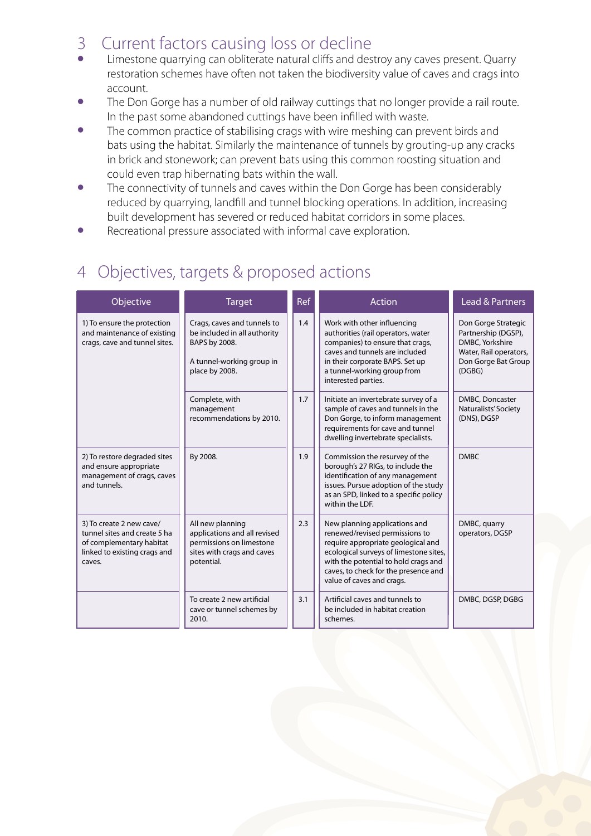#### 3 Current factors causing loss or decline

- Limestone quarrying can obliterate natural cliffs and destroy any caves present. Quarry restoration schemes have often not taken the biodiversity value of caves and crags into account.
- The Don Gorge has a number of old railway cuttings that no longer provide a rail route. In the past some abandoned cuttings have been infilled with waste.
- The common practice of stabilising crags with wire meshing can prevent birds and bats using the habitat. Similarly the maintenance of tunnels by grouting-up any cracks in brick and stonework; can prevent bats using this common roosting situation and could even trap hibernating bats within the wall.
- The connectivity of tunnels and caves within the Don Gorge has been considerably reduced by quarrying, landfill and tunnel blocking operations. In addition, increasing built development has severed or reduced habitat corridors in some places.
- Recreational pressure associated with informal cave exploration.

## 4 Objectives, targets & proposed actions

| Objective                                                                                                                      | <b>Target</b>                                                                                                               | Ref | Action                                                                                                                                                                                                                                                       | Lead & Partners                                                                                                          |
|--------------------------------------------------------------------------------------------------------------------------------|-----------------------------------------------------------------------------------------------------------------------------|-----|--------------------------------------------------------------------------------------------------------------------------------------------------------------------------------------------------------------------------------------------------------------|--------------------------------------------------------------------------------------------------------------------------|
| 1) To ensure the protection<br>and maintenance of existing<br>crags, cave and tunnel sites.                                    | Crags, caves and tunnels to<br>be included in all authority<br>BAPS by 2008.<br>A tunnel-working group in<br>place by 2008. | 1.4 | Work with other influencing<br>authorities (rail operators, water<br>companies) to ensure that crags,<br>caves and tunnels are included<br>in their corporate BAPS. Set up<br>a tunnel-working group from<br>interested parties.                             | Don Gorge Strategic<br>Partnership (DGSP),<br>DMBC, Yorkshire<br>Water, Rail operators,<br>Don Gorge Bat Group<br>(DGBG) |
|                                                                                                                                | Complete, with<br>management<br>recommendations by 2010.                                                                    | 1.7 | Initiate an invertebrate survey of a<br>sample of caves and tunnels in the<br>Don Gorge, to inform management<br>requirements for cave and tunnel<br>dwelling invertebrate specialists.                                                                      | DMBC, Doncaster<br>Naturalists' Society<br>(DNS), DGSP                                                                   |
| 2) To restore degraded sites<br>and ensure appropriate<br>management of crags, caves<br>and tunnels.                           | By 2008.                                                                                                                    | 1.9 | Commission the resurvey of the<br>borough's 27 RIGs, to include the<br>identification of any management<br>issues. Pursue adoption of the study<br>as an SPD, linked to a specific policy<br>within the LDF.                                                 | <b>DMBC</b>                                                                                                              |
| 3) To create 2 new cave/<br>tunnel sites and create 5 ha<br>of complementary habitat<br>linked to existing crags and<br>caves. | All new planning<br>applications and all revised<br>permissions on limestone<br>sites with crags and caves<br>potential.    | 2.3 | New planning applications and<br>renewed/revised permissions to<br>require appropriate geological and<br>ecological surveys of limestone sites,<br>with the potential to hold crags and<br>caves, to check for the presence and<br>value of caves and crags. | DMBC, quarry<br>operators, DGSP                                                                                          |
|                                                                                                                                | To create 2 new artificial<br>cave or tunnel schemes by<br>2010.                                                            | 3.1 | Artificial caves and tunnels to<br>be included in habitat creation<br>schemes.                                                                                                                                                                               | DMBC, DGSP, DGBG                                                                                                         |